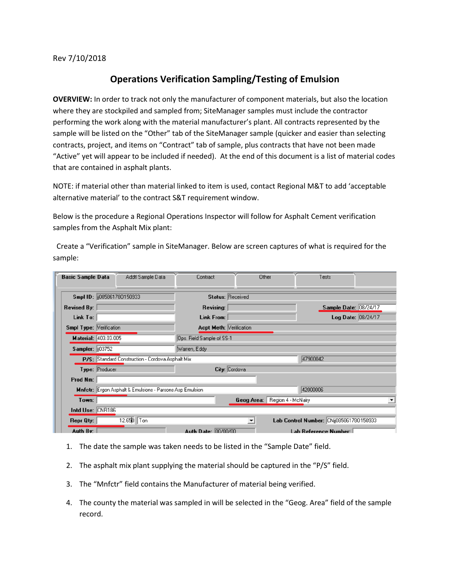Rev 7/10/2018

## **Operations Verification Sampling/Testing of Emulsion**

**OVERVIEW:** In order to track not only the manufacturer of component materials, but also the location where they are stockpiled and sampled from; SiteManager samples must include the contractor performing the work along with the material manufacturer's plant. All contracts represented by the sample will be listed on the "Other" tab of the SiteManager sample (quicker and easier than selecting contracts, project, and items on "Contract" tab of sample, plus contracts that have not been made "Active" yet will appear to be included if needed). At the end of this document is a list of material codes that are contained in asphalt plants.

NOTE: if material other than material linked to item is used, contact Regional M&T to add 'acceptable alternative material' to the contract S&T requirement window.

Below is the procedure a Regional Operations Inspector will follow for Asphalt Cement verification samples from the Asphalt Mix plant:

 Create a "Verification" sample in SiteManager. Below are screen captures of what is required for the sample:

| <b>Basic Sample Data</b>       | Addtl Sample Data                                        | Contract                       | Other |                                         | Tests              |  |  |
|--------------------------------|----------------------------------------------------------|--------------------------------|-------|-----------------------------------------|--------------------|--|--|
|                                | Smpl ID:   085861780150933                               | <b>Status: Received</b>        |       |                                         |                    |  |  |
| <b>Revised By:</b>             |                                                          | Revising:                      |       | Sample Date: 08/24/17                   |                    |  |  |
| Link To:                       |                                                          | Link From:                     |       |                                         | Log Date: 08/24/17 |  |  |
| <b>Smpl Type: Verification</b> |                                                          | <b>Acpt Meth: Verification</b> |       |                                         |                    |  |  |
|                                | Material: 403.03.005                                     | Ops. Field Sample of SS-1      |       |                                         |                    |  |  |
| Sampler: 103752                |                                                          | Warren, Eddy                   |       |                                         |                    |  |  |
|                                | P/S: Standard Construction - Cordova Asphalt Mix         |                                |       | 47900042                                |                    |  |  |
|                                | Type: Producer                                           | City: Cordova                  |       |                                         |                    |  |  |
| Prod Nm:                       |                                                          |                                |       |                                         |                    |  |  |
|                                | Mnfetr: Ergon Asphalt & Emulsions - Parsons Asp Emulsion |                                |       | 42000006                                |                    |  |  |
| Town:                          |                                                          |                                |       | Geog Area: Region 4 - McNairy           |                    |  |  |
| Intd Use: CNR186               |                                                          |                                |       |                                         |                    |  |  |
| Repr Qty:                      | 12.650 Ton                                               |                                | ▾╎    | Lab Control Number: CNij085861780150933 |                    |  |  |
| Auth By:                       |                                                          | Auth Date: 00/00/00            |       | Lab Reference Number:                   |                    |  |  |

- 1. The date the sample was taken needs to be listed in the "Sample Date" field.
- 2. The asphalt mix plant supplying the material should be captured in the "P/S" field.
- 3. The "Mnfctr" field contains the Manufacturer of material being verified.
- 4. The county the material was sampled in will be selected in the "Geog. Area" field of the sample record.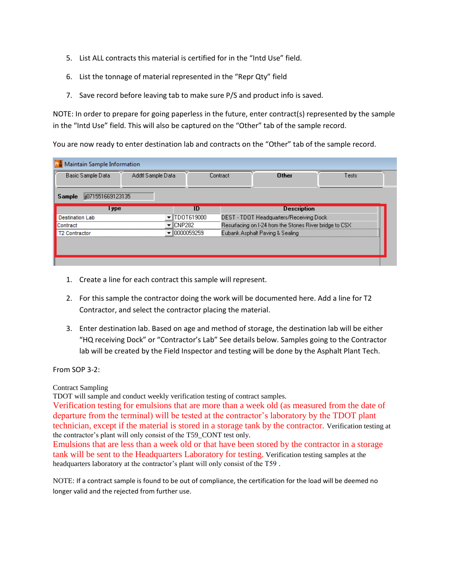- 5. List ALL contracts this material is certified for in the "Intd Use" field.
- 6. List the tonnage of material represented in the "Repr Qty" field
- 7. Save record before leaving tab to make sure P/S and product info is saved.

NOTE: In order to prepare for going paperless in the future, enter contract(s) represented by the sample in the "Intd Use" field. This will also be captured on the "Other" tab of the sample record.

You are now ready to enter destination lab and contracts on the "Other" tab of the sample record.

| Maintain Sample Information            |                                         |          |                                                         |       |  |  |  |  |  |
|----------------------------------------|-----------------------------------------|----------|---------------------------------------------------------|-------|--|--|--|--|--|
| Basic Sample Data<br>Addtl Sample Data |                                         | Contract | <b>Other</b>                                            | Tests |  |  |  |  |  |
| lij071551669123135<br>Sample           |                                         |          |                                                         |       |  |  |  |  |  |
| l ype                                  | ID                                      |          | <b>Description</b>                                      |       |  |  |  |  |  |
| <b>Destination Lab</b>                 | TDOT619000                              |          | DEST - TDOT Headquarters/Receiving Dock                 |       |  |  |  |  |  |
| lContract                              | $\blacktriangledown$ $\parallel$ CNP282 |          | Resurfacing on I-24 from the Stones River bridge to CSX |       |  |  |  |  |  |
| Contractor                             | 10000059259                             |          | Eubank Asphalt Paving & Sealing                         |       |  |  |  |  |  |
|                                        |                                         |          |                                                         |       |  |  |  |  |  |
|                                        |                                         |          |                                                         |       |  |  |  |  |  |
|                                        |                                         |          |                                                         |       |  |  |  |  |  |

- 1. Create a line for each contract this sample will represent.
- 2. For this sample the contractor doing the work will be documented here. Add a line for T2 Contractor, and select the contractor placing the material.
- 3. Enter destination lab. Based on age and method of storage, the destination lab will be either "HQ receiving Dock" or "Contractor's Lab" See details below. Samples going to the Contractor lab will be created by the Field Inspector and testing will be done by the Asphalt Plant Tech.

From SOP 3-2:

Contract Sampling

TDOT will sample and conduct weekly verification testing of contract samples.

Verification testing for emulsions that are more than a week old (as measured from the date of departure from the terminal) will be tested at the contractor's laboratory by the TDOT plant technician, except if the material is stored in a storage tank by the contractor. Verification testing at the contractor's plant will only consist of the T59\_CONT test only.

Emulsions that are less than a week old or that have been stored by the contractor in a storage tank will be sent to the Headquarters Laboratory for testing. Verification testing samples at the headquarters laboratory at the contractor's plant will only consist of the T59 .

NOTE: If a contract sample is found to be out of compliance, the certification for the load will be deemed no longer valid and the rejected from further use.